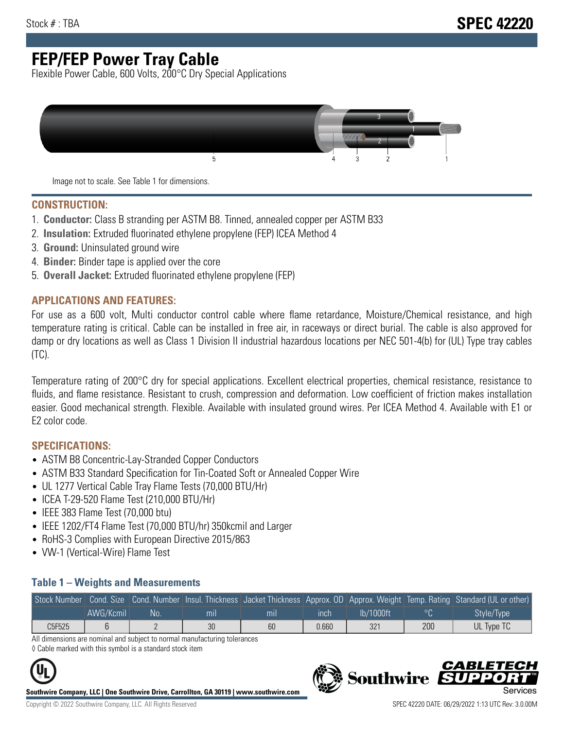## **FEP/FEP Power Tray Cable**

Flexible Power Cable, 600 Volts, 200°C Dry Special Applications



Image not to scale. See Table 1 for dimensions.

#### **CONSTRUCTION:**

- 1. **Conductor:** Class B stranding per ASTM B8. Tinned, annealed copper per ASTM B33
- 2. **Insulation:** Extruded fluorinated ethylene propylene (FEP) ICEA Method 4
- 3. **Ground:** Uninsulated ground wire
- 4. **Binder:** Binder tape is applied over the core
- 5. **Overall Jacket:** Extruded fluorinated ethylene propylene (FEP)

### **APPLICATIONS AND FEATURES:**

For use as a 600 volt, Multi conductor control cable where flame retardance, Moisture/Chemical resistance, and high temperature rating is critical. Cable can be installed in free air, in raceways or direct burial. The cable is also approved for damp or dry locations as well as Class 1 Division II industrial hazardous locations per NEC 501-4(b) for (UL) Type tray cables (TC).

Temperature rating of 200°C dry for special applications. Excellent electrical properties, chemical resistance, resistance to fluids, and flame resistance. Resistant to crush, compression and deformation. Low coefficient of friction makes installation easier. Good mechanical strength. Flexible. Available with insulated ground wires. Per ICEA Method 4. Available with E1 or E2 color code.

### **SPECIFICATIONS:**

- ASTM B8 Concentric-Lay-Stranded Copper Conductors
- ASTM B33 Standard Specification for Tin-Coated Soft or Annealed Copper Wire
- UL 1277 Vertical Cable Tray Flame Tests (70,000 BTU/Hr)
- ICEA T-29-520 Flame Test (210,000 BTU/Hr)
- IEEE 383 Flame Test (70,000 btu)
- IEEE 1202/FT4 Flame Test (70,000 BTU/hr) 350kcmil and Larger
- RoHS-3 Complies with European Directive 2015/863
- VW-1 (Vertical-Wire) Flame Test

#### **Table 1 – Weights and Measurements**

|        |           |     |     |     |       |           |                | Stock Number Cond. Size Cond. Number Insul. Thickness Jacket Thickness Approx. OD Approx. Weight Temp. Rating Standard (UL or other) |
|--------|-----------|-----|-----|-----|-------|-----------|----------------|--------------------------------------------------------------------------------------------------------------------------------------|
|        | AWG/Kcmil | .No | mıl | mil | ınch  | lb/1000ft | $\circ$ $\cap$ | Style/Type                                                                                                                           |
| C5F525 |           |     | 30  | 60  | 0.660 | 321       | 200            | UL Type TC                                                                                                                           |

All dimensions are nominal and subject to normal manufacturing tolerances

◊ Cable marked with this symbol is a standard stock item



**Southwire Company, LLC | One Southwire Drive, Carrollton, GA 30119 | www.southwire.com**